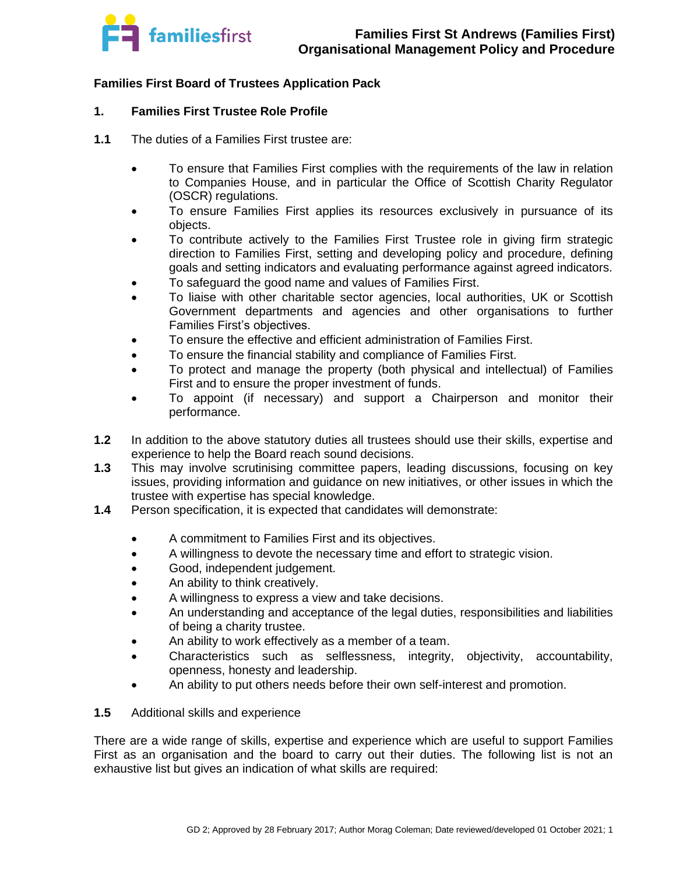

## **Families First Board of Trustees Application Pack**

## **1. Families First Trustee Role Profile**

- **1.1** The duties of a Families First trustee are:
	- To ensure that Families First complies with the requirements of the law in relation to Companies House, and in particular the Office of Scottish Charity Regulator (OSCR) regulations.
	- To ensure Families First applies its resources exclusively in pursuance of its objects.
	- To contribute actively to the Families First Trustee role in giving firm strategic direction to Families First, setting and developing policy and procedure, defining goals and setting indicators and evaluating performance against agreed indicators.
	- To safeguard the good name and values of Families First.
	- To liaise with other charitable sector agencies, local authorities, UK or Scottish Government departments and agencies and other organisations to further Families First's objectives.
	- To ensure the effective and efficient administration of Families First.
	- To ensure the financial stability and compliance of Families First.
	- To protect and manage the property (both physical and intellectual) of Families First and to ensure the proper investment of funds.
	- To appoint (if necessary) and support a Chairperson and monitor their performance.
- **1.2** In addition to the above statutory duties all trustees should use their skills, expertise and experience to help the Board reach sound decisions.
- **1.3** This may involve scrutinising committee papers, leading discussions, focusing on key issues, providing information and guidance on new initiatives, or other issues in which the trustee with expertise has special knowledge.
- **1.4** Person specification, it is expected that candidates will demonstrate:
	- A commitment to Families First and its objectives.
	- A willingness to devote the necessary time and effort to strategic vision.
	- Good, independent judgement.
	- An ability to think creatively.
	- A willingness to express a view and take decisions.
	- An understanding and acceptance of the legal duties, responsibilities and liabilities of being a charity trustee.
	- An ability to work effectively as a member of a team.
	- Characteristics such as selflessness, integrity, objectivity, accountability, openness, honesty and leadership.
	- An ability to put others needs before their own self-interest and promotion.
- **1.5** Additional skills and experience

There are a wide range of skills, expertise and experience which are useful to support Families First as an organisation and the board to carry out their duties. The following list is not an exhaustive list but gives an indication of what skills are required: